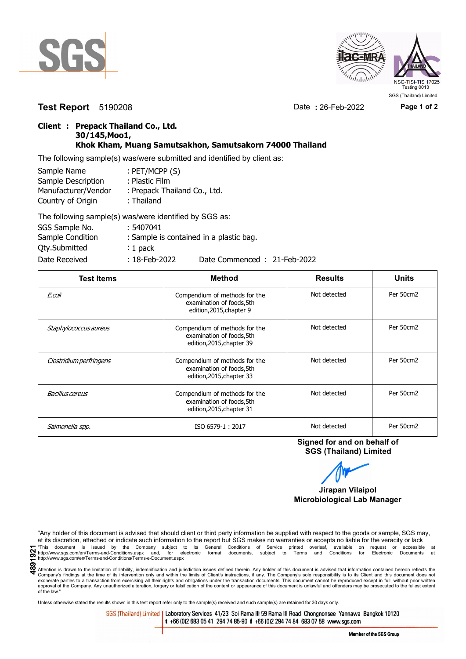



**Test Report** 5190208 Date **:** 26-Feb-2022 **Page 1 of 2**

## **Client : Prepack Thailand Co., Ltd. 30/145,Moo1, Khok Kham, Muang Samutsakhon, Samutsakorn 74000 Thailand**

The following sample(s) was/were submitted and identified by client as:

| Sample Name         | : PET/MCPP (S)               |
|---------------------|------------------------------|
| Sample Description  | : Plastic Film               |
| Manufacturer/Vendor | : Prepack Thailand Co., Ltd. |
| Country of Origin   | : Thailand                   |
|                     | TIPULI III III III AAA       |

| The following sample(s) was/were identified by SGS as: |                  |                                         |
|--------------------------------------------------------|------------------|-----------------------------------------|
| SGS Sample No.                                         | : 5407041        |                                         |
| Sample Condition                                       |                  | : Sample is contained in a plastic bag. |
| Qty.Submitted                                          | $: 1$ pack       |                                         |
| Date Received                                          | $: 18$ -Feb-2022 | Date Commenced: 21-Feb-2022             |

| <b>Test Items</b>       | <b>Method</b>                                                                           | <b>Results</b> | <b>Units</b> |
|-------------------------|-----------------------------------------------------------------------------------------|----------------|--------------|
| E.coli                  | Compendium of methods for the<br>examination of foods, 5th<br>edition, 2015, chapter 9  | Not detected   | Per 50cm2    |
| Staphylococcus aureus   | Compendium of methods for the<br>examination of foods, 5th<br>edition, 2015, chapter 39 | Not detected   | Per 50cm2    |
| Clostridium perfringens | Compendium of methods for the<br>examination of foods, 5th<br>edition, 2015, chapter 33 | Not detected   | Per 50cm2    |
| Bacillus cereus         | Compendium of methods for the<br>examination of foods, 5th<br>edition, 2015, chapter 31 | Not detected   | Per 50cm2    |
| Salmonella spp.         | ISO 6579-1: 2017                                                                        | Not detected   | Per 50cm2    |

**Signed for and on behalf of SGS (Thailand) Limited**

**Jirapan Vilaipol Microbiological Lab Manager**

"Any holder of this document is advised that should client or third party information be supplied with respect to the goods or sample, SGS may, at its discretion, attached or indicate such information to the report but SGS makes no warranties or accepts no liable for the veracity or lack This document is issued by the Company subject to its General Conditions of Service printed overleaf, available on request or accessible at the intention.<br>
Thit intention states compenies and Conditions. Terms and for elec

Attention is drawn to the limitation of liability, indemnification and jurisdiction issues defined therein. Any holder of this document is advised that information contained hereon reflects the Company's findings at the time of its intervention only and within the limits of Client's instructions, if any. The Company's sole responsibility is to its Client and this document does not<br>exonerate parties to a transacti approval of the Company. Any unauthorized alteration, forgery or falsification of the content or appearance of this document is unlawful and offenders may be prosecuted to the fullest extent approval of the Company. Any un of the law."

Unless otherwise stated the results shown in this test report refer only to the sample(s) received and such sample(s) are retained for 30 days only.

SGS (Thailand) Limited | Laboratory Services 41/23 Soi Rama III 59 Rama III Road Chongnonsee Yannawa Bangkok 10120 t +66 (0)2 683 05 41 294 74 85-90 f +66 (0)2 294 74 84 683 07 58 www.sgs.com